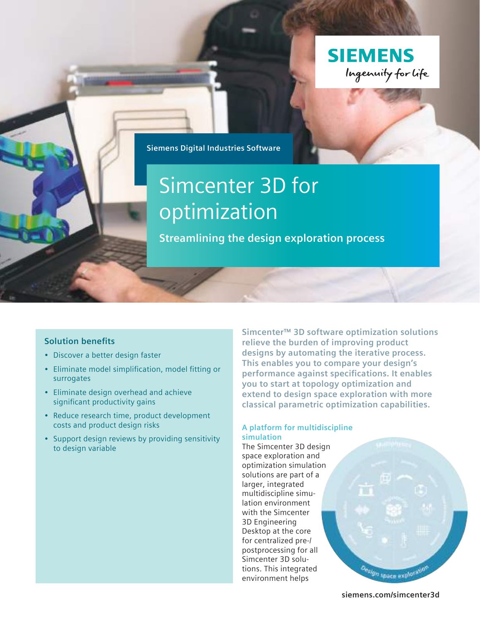

**Siemens Digital Industries Software**

# Simcenter 3D for optimization

**Streamlining the design exploration process**

#### **Solution benefits**

- Discover a better design faster
- Eliminate model simplification, model fitting or surrogates
- Eliminate design overhead and achieve significant productivity gains
- Reduce research time, product development costs and product design risks
- Support design reviews by providing sensitivity to design variable

**Simcenter™ 3D software optimization solutions relieve the burden of improving product designs by automating the iterative process. This enables you to compare your design's performance against specifications. It enables you to start at topology optimization and extend to design space exploration with more classical parametric optimization capabilities.**

#### **A platform for multidiscipline simulation**

The Simcenter 3D design space exploration and optimization simulation solutions are part of a larger, integrated multidiscipline simulation environment with the Simcenter 3D Engineering Desktop at the core for centralized pre-/ postprocessing for all Simcenter 3D solutions. This integrated environment helps



**[siemens.com/simcenter3d](http://siemens.com/simcenter3d)**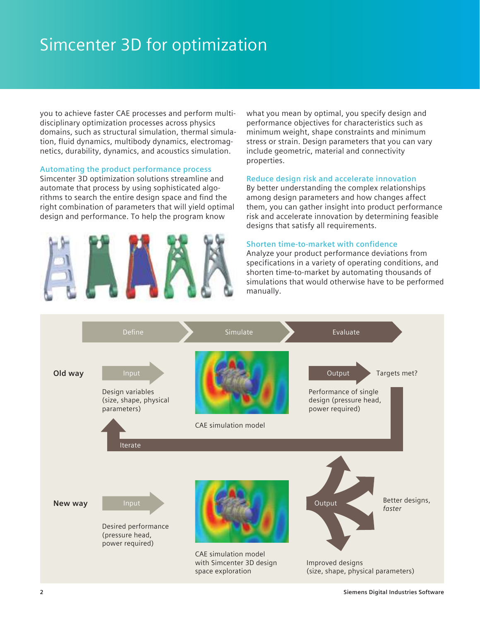# Simcenter 3D for optimization

you to achieve faster CAE processes and perform multidisciplinary optimization processes across physics domains, such as structural simulation, thermal simulation, fluid dynamics, multibody dynamics, electromagnetics, durability, dynamics, and acoustics simulation.

#### **Automating the product performance process**

Simcenter 3D optimization solutions streamline and automate that process by using sophisticated algorithms to search the entire design space and find the right combination of parameters that will yield optimal design and performance. To help the program know



what you mean by optimal, you specify design and performance objectives for characteristics such as minimum weight, shape constraints and minimum stress or strain. Design parameters that you can vary include geometric, material and connectivity properties.

#### **Reduce design risk and accelerate innovation**

By better understanding the complex relationships among design parameters and how changes affect them, you can gather insight into product performance risk and accelerate innovation by determining feasible designs that satisfy all requirements.

#### **Shorten time-to-market with confidence**

Analyze your product performance deviations from specifications in a variety of operating conditions, and shorten time-to-market by automating thousands of simulations that would otherwise have to be performed manually.

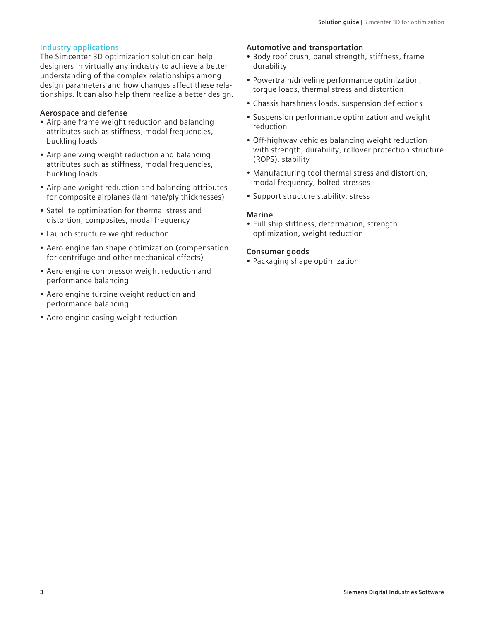#### **Industry applications**

The Simcenter 3D optimization solution can help designers in virtually any industry to achieve a better understanding of the complex relationships among design parameters and how changes affect these relationships. It can also help them realize a better design.

#### **Aerospace and defense**

- Airplane frame weight reduction and balancing attributes such as stiffness, modal frequencies, buckling loads
- Airplane wing weight reduction and balancing attributes such as stiffness, modal frequencies, buckling loads
- Airplane weight reduction and balancing attributes for composite airplanes (laminate/ply thicknesses)
- Satellite optimization for thermal stress and distortion, composites, modal frequency
- Launch structure weight reduction
- Aero engine fan shape optimization (compensation for centrifuge and other mechanical effects)
- Aero engine compressor weight reduction and performance balancing
- Aero engine turbine weight reduction and performance balancing
- Aero engine casing weight reduction

#### **Automotive and transportation**

- Body roof crush, panel strength, stiffness, frame durability
- Powertrain/driveline performance optimization, torque loads, thermal stress and distortion
- Chassis harshness loads, suspension deflections
- Suspension performance optimization and weight reduction
- Off-highway vehicles balancing weight reduction with strength, durability, rollover protection structure (ROPS), stability
- Manufacturing tool thermal stress and distortion, modal frequency, bolted stresses
- Support structure stability, stress

#### **Marine**

• Full ship stiffness, deformation, strength optimization, weight reduction

#### **Consumer goods**

• Packaging shape optimization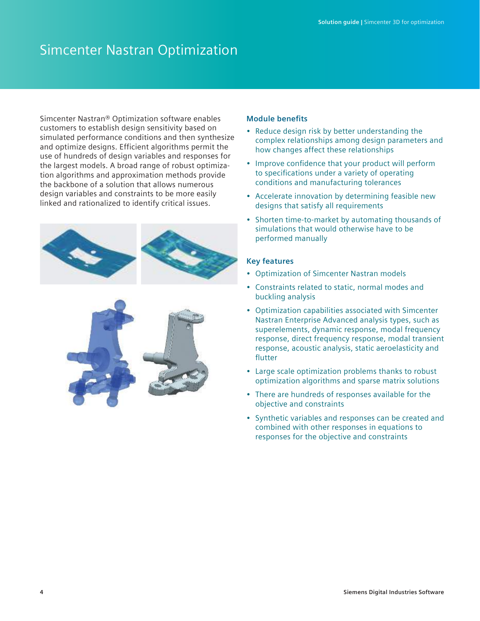## Simcenter Nastran Optimization

Simcenter Nastran® Optimization software enables customers to establish design sensitivity based on simulated performance conditions and then synthesize and optimize designs. Efficient algorithms permit the use of hundreds of design variables and responses for the largest models. A broad range of robust optimization algorithms and approximation methods provide the backbone of a solution that allows numerous design variables and constraints to be more easily linked and rationalized to identify critical issues.





#### **Module benefits**

- Reduce design risk by better understanding the complex relationships among design parameters and how changes affect these relationships
- Improve confidence that your product will perform to specifications under a variety of operating conditions and manufacturing tolerances
- Accelerate innovation by determining feasible new designs that satisfy all requirements
- Shorten time-to-market by automating thousands of simulations that would otherwise have to be performed manually

- Optimization of Simcenter Nastran models
- Constraints related to static, normal modes and buckling analysis
- Optimization capabilities associated with Simcenter Nastran Enterprise Advanced analysis types, such as superelements, dynamic response, modal frequency response, direct frequency response, modal transient response, acoustic analysis, static aeroelasticity and flutter
- Large scale optimization problems thanks to robust optimization algorithms and sparse matrix solutions
- There are hundreds of responses available for the objective and constraints
- Synthetic variables and responses can be created and combined with other responses in equations to responses for the objective and constraints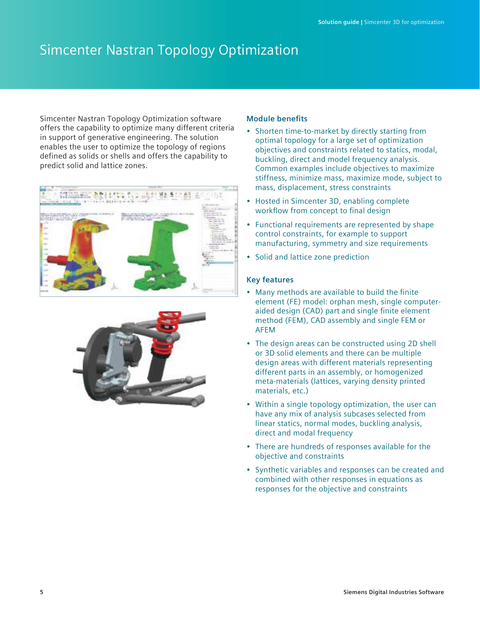# Simcenter Nastran Topology Optimization

Simcenter Nastran Topology Optimization software offers the capability to optimize many different criteria in support of generative engineering. The solution enables the user to optimize the topology of regions defined as solids or shells and offers the capability to predict solid and lattice zones.





#### **Module benefits**

- Shorten time-to-market by directly starting from optimal topology for a large set of optimization objectives and constraints related to statics, modal, buckling, direct and model frequency analysis. Common examples include objectives to maximize stiffness, minimize mass, maximize mode, subject to mass, displacement, stress constraints
- Hosted in Simcenter 3D, enabling complete workflow from concept to final design
- Functional requirements are represented by shape control constraints, for example to support manufacturing, symmetry and size requirements
- Solid and lattice zone prediction

- Many methods are available to build the finite element (FE) model: orphan mesh, single computeraided design (CAD) part and single finite element method (FEM), CAD assembly and single FEM or AFEM
- The design areas can be constructed using 2D shell or 3D solid elements and there can be multiple design areas with different materials representing different parts in an assembly, or homogenized meta-materials (lattices, varying density printed materials, etc.)
- Within a single topology optimization, the user can have any mix of analysis subcases selected from linear statics, normal modes, buckling analysis, direct and modal frequency
- There are hundreds of responses available for the objective and constraints
- Synthetic variables and responses can be created and combined with other responses in equations as responses for the objective and constraints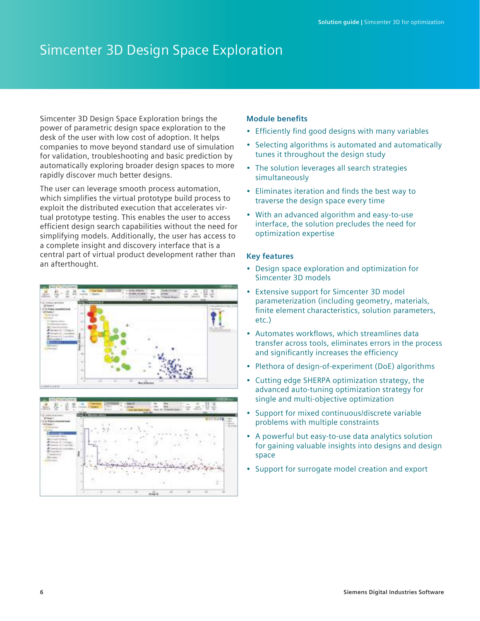## Simcenter 3D Design Space Exploration

Simcenter 3D Design Space Exploration brings the power of parametric design space exploration to the desk of the user with low cost of adoption. It helps companies to move beyond standard use of simulation for validation, troubleshooting and basic prediction by automatically exploring broader design spaces to more rapidly discover much better designs.

The user can leverage smooth process automation, which simplifies the virtual prototype build process to exploit the distributed execution that accelerates virtual prototype testing. This enables the user to access efficient design search capabilities without the need for simplifying models. Additionally, the user has access to a complete insight and discovery interface that is a central part of virtual product development rather than an afterthought.





#### **Module benefits**

- Efficiently find good designs with many variables
- Selecting algorithms is automated and automatically tunes it throughout the design study
- The solution leverages all search strategies simultaneously
- Eliminates iteration and finds the best way to traverse the design space every time
- With an advanced algorithm and easy-to-use interface, the solution precludes the need for optimization expertise

- Design space exploration and optimization for Simcenter 3D models
- Extensive support for Simcenter 3D model parameterization (including geometry, materials, finite element characteristics, solution parameters, etc.)
- Automates workflows, which streamlines data transfer across tools, eliminates errors in the process and significantly increases the efficiency
- Plethora of design-of-experiment (DoE) algorithms
- Cutting edge SHERPA optimization strategy, the advanced auto-tuning optimization strategy for single and multi-objective optimization
- Support for mixed continuous/discrete variable problems with multiple constraints
- A powerful but easy-to-use data analytics solution for gaining valuable insights into designs and design space
- Support for surrogate model creation and export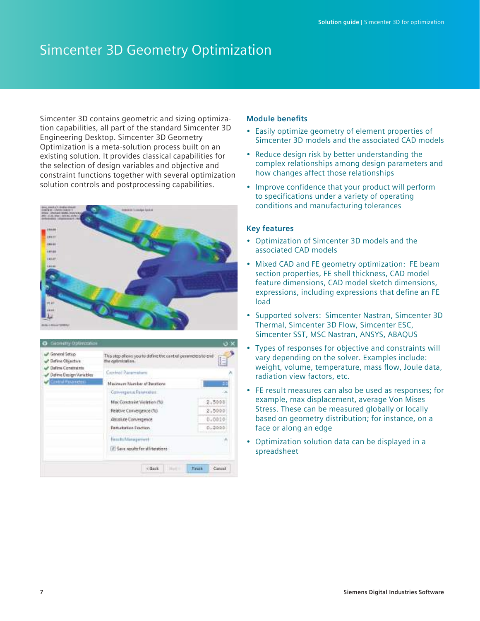## Simcenter 3D Geometry Optimization

Simcenter 3D contains geometric and sizing optimization capabilities, all part of the standard Simcenter 3D Engineering Desktop. Simcenter 3D Geometry Optimization is a meta-solution process built on an existing solution. It provides classical capabilities for the selection of design variables and objective and constraint functions together with several optimization solution controls and postprocessing capabilities.





#### **Module benefits**

- Easily optimize geometry of element properties of Simcenter 3D models and the associated CAD models
- Reduce design risk by better understanding the complex relationships among design parameters and how changes affect those relationships
- Improve confidence that your product will perform to specifications under a variety of operating conditions and manufacturing tolerances

- Optimization of Simcenter 3D models and the associated CAD models
- Mixed CAD and FE geometry optimization: FE beam section properties, FE shell thickness, CAD model feature dimensions, CAD model sketch dimensions, expressions, including expressions that define an FE load
- Supported solvers: Simcenter Nastran, Simcenter 3D Thermal, Simcenter 3D Flow, Simcenter ESC, Simcenter SST, MSC Nastran, ANSYS, ABAQUS
- Types of responses for objective and constraints will vary depending on the solver. Examples include: weight, volume, temperature, mass flow, Joule data, radiation view factors, etc.
- FE result measures can also be used as responses; for example, max displacement, average Von Mises Stress. These can be measured globally or locally based on geometry distribution; for instance, on a face or along an edge
- Optimization solution data can be displayed in a spreadsheet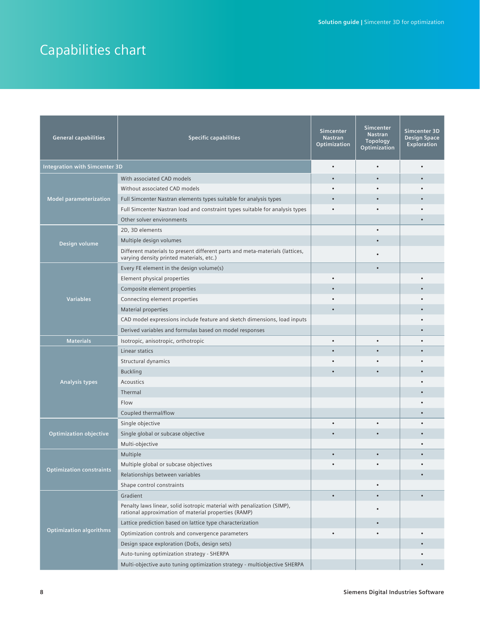# Capabilities chart

| <b>General capabilities</b>     | <b>Specific capabilities</b>                                                                                                    | <b>Simcenter</b><br><b>Nastran</b><br>Optimization | <b>Simcenter</b><br><b>Nastran</b><br><b>Topology</b><br>Optimization | Simcenter 3D<br><b>Design Space</b><br><b>Exploration</b> |
|---------------------------------|---------------------------------------------------------------------------------------------------------------------------------|----------------------------------------------------|-----------------------------------------------------------------------|-----------------------------------------------------------|
| Integration with Simcenter 3D   |                                                                                                                                 |                                                    | $\bullet$                                                             |                                                           |
|                                 | With associated CAD models                                                                                                      |                                                    |                                                                       |                                                           |
|                                 | Without associated CAD models                                                                                                   |                                                    |                                                                       |                                                           |
| <b>Model parameterization</b>   | Full Simcenter Nastran elements types suitable for analysis types                                                               |                                                    |                                                                       |                                                           |
|                                 | Full Simcenter Nastran load and constraint types suitable for analysis types                                                    |                                                    |                                                                       |                                                           |
|                                 | Other solver environments                                                                                                       |                                                    |                                                                       |                                                           |
| Design volume                   | 2D, 3D elements                                                                                                                 |                                                    | $\bullet$                                                             |                                                           |
|                                 | Multiple design volumes                                                                                                         |                                                    |                                                                       |                                                           |
|                                 | Different materials to present different parts and meta-materials (lattices,<br>varying density printed materials, etc.)        |                                                    |                                                                       |                                                           |
|                                 | Every FE element in the design volume(s)                                                                                        |                                                    |                                                                       |                                                           |
|                                 | Element physical properties                                                                                                     |                                                    |                                                                       |                                                           |
|                                 | Composite element properties                                                                                                    |                                                    |                                                                       |                                                           |
| <b>Variables</b>                | Connecting element properties                                                                                                   |                                                    |                                                                       |                                                           |
|                                 | <b>Material properties</b>                                                                                                      |                                                    |                                                                       |                                                           |
|                                 | CAD model expressions include feature and sketch dimensions, load inputs                                                        |                                                    |                                                                       |                                                           |
|                                 | Derived variables and formulas based on model responses                                                                         |                                                    |                                                                       |                                                           |
| <b>Materials</b>                | Isotropic, anisotropic, orthotropic                                                                                             |                                                    |                                                                       |                                                           |
|                                 | Linear statics                                                                                                                  |                                                    |                                                                       |                                                           |
|                                 | Structural dynamics                                                                                                             |                                                    |                                                                       |                                                           |
|                                 | <b>Buckling</b>                                                                                                                 |                                                    |                                                                       |                                                           |
| <b>Analysis types</b>           | Acoustics                                                                                                                       |                                                    |                                                                       |                                                           |
|                                 | Thermal                                                                                                                         |                                                    |                                                                       |                                                           |
|                                 | Flow                                                                                                                            |                                                    |                                                                       |                                                           |
|                                 | Coupled thermal/flow                                                                                                            |                                                    |                                                                       |                                                           |
| <b>Optimization objective</b>   | Single objective                                                                                                                |                                                    |                                                                       |                                                           |
|                                 | Single global or subcase objective                                                                                              |                                                    |                                                                       |                                                           |
|                                 | Multi-objective                                                                                                                 |                                                    |                                                                       |                                                           |
| <b>Optimization constraints</b> | Multiple                                                                                                                        |                                                    |                                                                       |                                                           |
|                                 | Multiple global or subcase objectives                                                                                           |                                                    |                                                                       |                                                           |
|                                 | Relationships between variables                                                                                                 |                                                    |                                                                       |                                                           |
|                                 | Shape control constraints                                                                                                       |                                                    | $\bullet$                                                             |                                                           |
|                                 | Gradient                                                                                                                        |                                                    |                                                                       |                                                           |
| <b>Optimization algorithms</b>  | Penalty laws linear, solid isotropic material with penalization (SIMP),<br>rational approximation of material properties (RAMP) |                                                    |                                                                       |                                                           |
|                                 | Lattice prediction based on lattice type characterization                                                                       |                                                    |                                                                       |                                                           |
|                                 | Optimization controls and convergence parameters                                                                                |                                                    |                                                                       |                                                           |
|                                 | Design space exploration (DoEs, design sets)                                                                                    |                                                    |                                                                       |                                                           |
|                                 | Auto-tuning optimization strategy - SHERPA                                                                                      |                                                    |                                                                       |                                                           |
|                                 | Multi-objective auto tuning optimization strategy - multiobjective SHERPA                                                       |                                                    |                                                                       |                                                           |